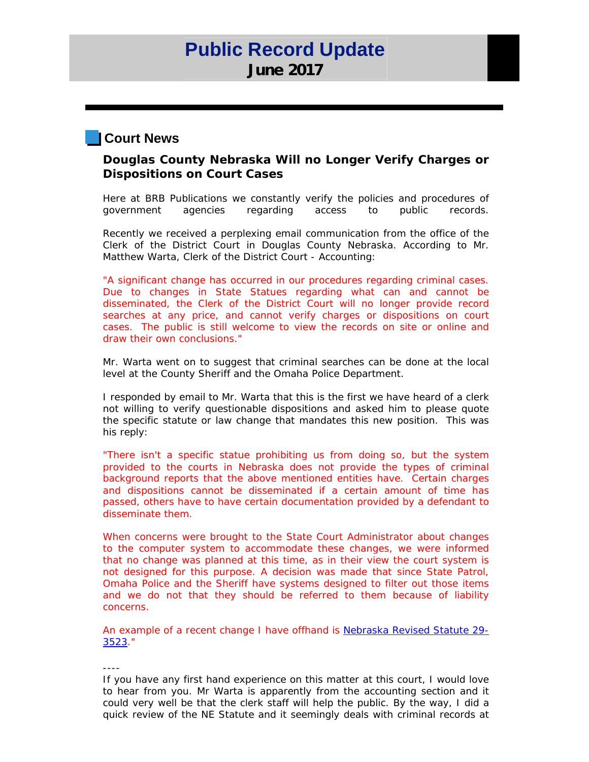# **Public Record Update June 2017**

## **Court News**

### **Douglas County Nebraska Will no Longer Verify Charges or Dispositions on Court Cases**

Here at BRB Publications we constantly verify the policies and procedures of government agencies regarding access to public records.

Recently we received a perplexing email communication from the office of the Clerk of the District Court in Douglas County Nebraska. According to Mr. Matthew Warta, Clerk of the District Court - Accounting:

"A significant change has occurred in our procedures regarding criminal cases. Due to changes in State Statues regarding what can and cannot be disseminated, the Clerk of the District Court will no longer provide record searches at any price, and cannot verify charges or dispositions on court cases. The public is still welcome to view the records on site or online and draw their own conclusions."

Mr. Warta went on to suggest that criminal searches can be done at the local level at the County Sheriff and the Omaha Police Department.

I responded by email to Mr. Warta that this is the first we have heard of a clerk not willing to verify questionable dispositions and asked him to please quote the specific statute or law change that mandates this new position. This was his reply:

"There isn't a specific statue prohibiting us from doing so, but the system provided to the courts in Nebraska does not provide the types of criminal background reports that the above mentioned entities have. Certain charges and dispositions cannot be disseminated if a certain amount of time has passed, others have to have certain documentation provided by a defendant to disseminate them.

When concerns were brought to the State Court Administrator about changes to the computer system to accommodate these changes, we were informed that no change was planned at this time, as in their view the court system is not designed for this purpose. A decision was made that since State Patrol, Omaha Police and the Sheriff have systems designed to filter out those items and we do not that they should be referred to them because of liability concerns.

An example of a recent change I have offhand is Nebraska Revised Statute 29- 3523."

----

If you have any first hand experience on this matter at this court, I would love to hear from you. Mr Warta is apparently from the accounting section and it could very well be that the clerk staff will help the public. By the way, I did a quick review of the NE Statute and it seemingly deals with criminal records at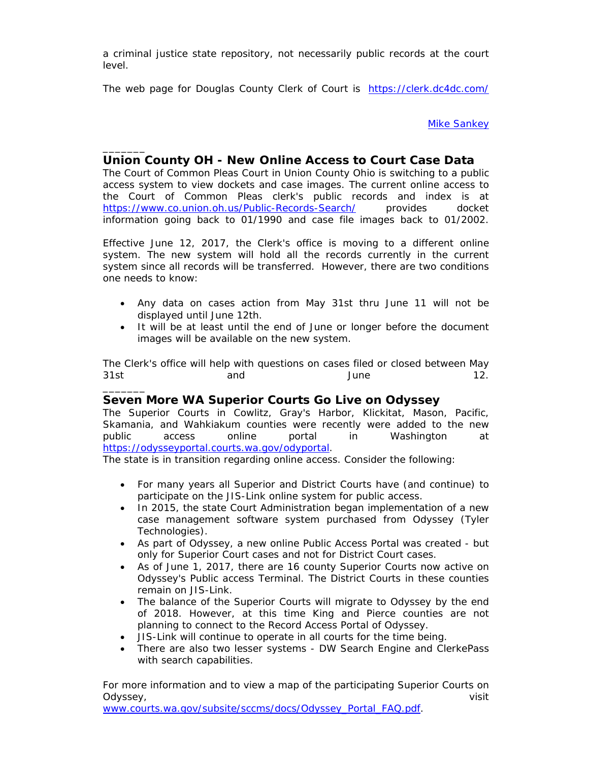a criminal justice state repository, not necessarily public records at the court level.

The web page for Douglas County Clerk of Court is https://clerk.dc4dc.com/

Mike Sankey

### **Union County OH - New Online Access to Court Case Data**

\_\_\_\_\_\_\_

\_\_\_\_\_\_\_

The Court of Common Pleas Court in Union County Ohio is switching to a public access system to view dockets and case images. The current online access to the Court of Common Pleas clerk's public records and index is at https://www.co.union.oh.us/Public-Records-Search/ provides docket information going back to 01/1990 and case file images back to 01/2002.

Effective June 12, 2017, the Clerk's office is moving to a different online system. The new system will hold all the records currently in the current system since all records will be transferred. However, there are two conditions one needs to know:

- Any data on cases action from May 31st thru June 11 will not be displayed until June 12th.
- It will be at least until the end of June or longer before the document images will be available on the new system.

The Clerk's office will help with questions on cases filed or closed between May 31st and June 12.

### **Seven More WA Superior Courts Go Live on Odyssey**

The Superior Courts in Cowlitz, Gray's Harbor, Klickitat, Mason, Pacific, Skamania, and Wahkiakum counties were recently were added to the new public access online portal in Washington at https://odysseyportal.courts.wa.gov/odyportal.

The state is in transition regarding online access. Consider the following:

- For many years all Superior and District Courts have (and continue) to participate on the JIS-Link online system for public access.
- In 2015, the state Court Administration began implementation of a new case management software system purchased from Odyssey (Tyler Technologies).
- As part of Odyssey, a new online Public Access Portal was created but only for Superior Court cases and not for District Court cases.
- As of June 1, 2017, there are 16 county Superior Courts now active on Odyssey's Public access Terminal. The District Courts in these counties remain on JIS-Link.
- The balance of the Superior Courts will migrate to Odyssey by the end of 2018. However, at this time King and Pierce counties are not planning to connect to the Record Access Portal of Odyssey.
- JIS-Link will continue to operate in all courts for the time being.
- There are also two lesser systems DW Search Engine and ClerkePass with search capabilities.

For more information and to view a map of the participating Superior Courts on Odyssey, visit

www.courts.wa.gov/subsite/sccms/docs/Odyssey\_Portal\_FAQ.pdf.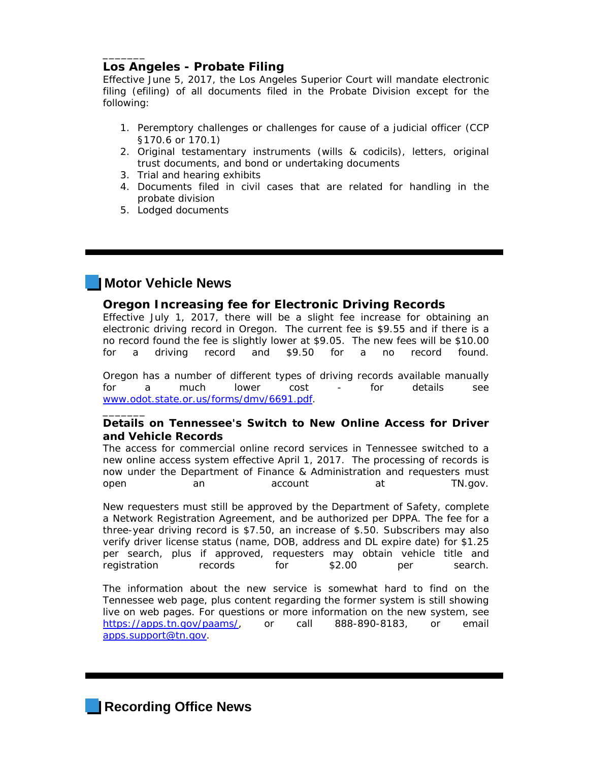### **Los Angeles - Probate Filing**

\_\_\_\_\_\_\_

Effective June 5, 2017, the Los Angeles Superior Court will mandate electronic filing (efiling) of all documents filed in the Probate Division except for the following:

- 1. Peremptory challenges or challenges for cause of a judicial officer (CCP §170.6 or 170.1)
- 2. Original testamentary instruments (wills & codicils), letters, original trust documents, and bond or undertaking documents
- 3. Trial and hearing exhibits
- 4. Documents filed in civil cases that are related for handling in the probate division
- 5. Lodged documents

# **Motor Vehicle News**

\_\_\_\_\_\_\_

#### **Oregon Increasing fee for Electronic Driving Records**

Effective July 1, 2017, there will be a slight fee increase for obtaining an electronic driving record in Oregon. The current fee is \$9.55 and if there is a no record found the fee is slightly lower at \$9.05. The new fees will be \$10.00 for a driving record and \$9.50 for a no record found.

Oregon has a number of different types of driving records available manually for a much lower cost - for details see www.odot.state.or.us/forms/dmv/6691.pdf.

### **Details on Tennessee's Switch to New Online Access for Driver and Vehicle Records**

The access for commercial online record services in Tennessee switched to a new online access system effective April 1, 2017. The processing of records is now under the Department of Finance & Administration and requesters must open an account at TN.gov.

New requesters must still be approved by the Department of Safety, complete a Network Registration Agreement, and be authorized per DPPA. The fee for a three-year driving record is \$7.50, an increase of \$.50. Subscribers may also verify driver license status (name, DOB, address and DL expire date) for \$1.25 per search, plus if approved, requesters may obtain vehicle title and registration records for \$2.00 per search.

The information about the new service is somewhat hard to find on the Tennessee web page, plus content regarding the former system is still showing live on web pages. For questions or more information on the new system, see https://apps.tn.gov/paams/, or call 888-890-8183, or email apps.support@tn.gov.

**Recording Office News**